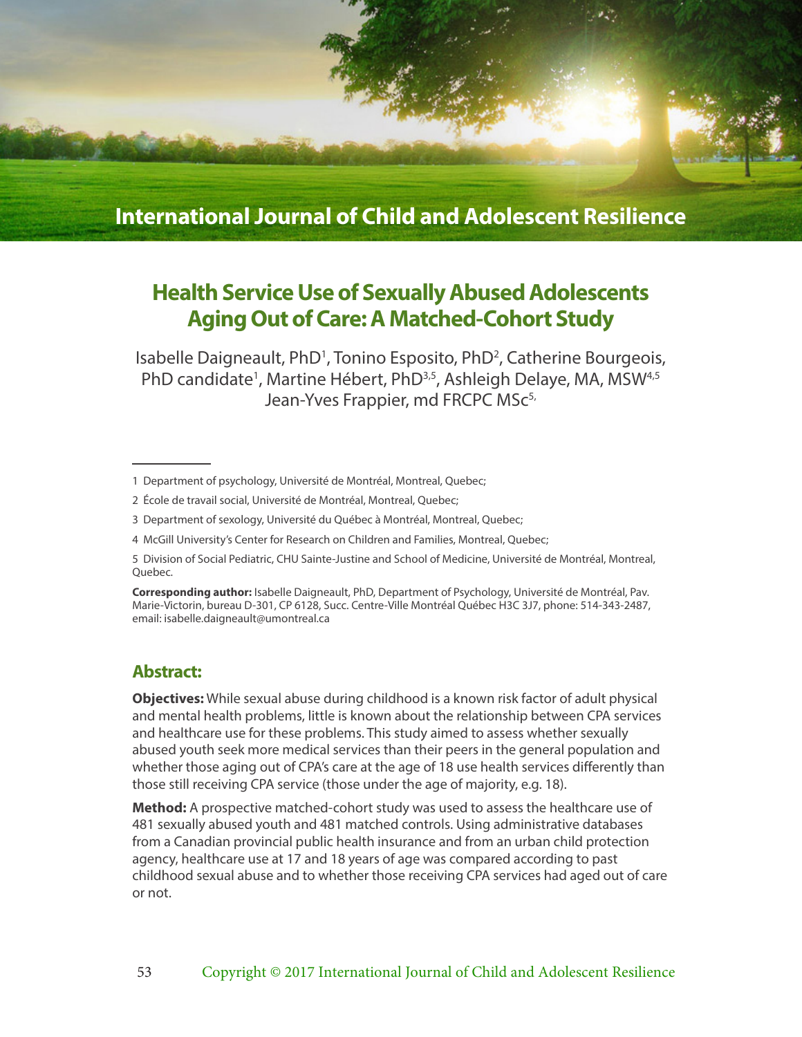

**International Journal of Child and Adolescent Resilience**

# **Health Service Use of Sexually Abused Adolescents Aging Out of Care: A Matched-Cohort Study**

Isabelle Daigneault, PhD<sup>1</sup>, Tonino Esposito, PhD<sup>2</sup>, Catherine Bourgeois, PhD candidate<sup>1</sup>, Martine Hébert, PhD<sup>3,5</sup>, Ashleigh Delaye, MA, MSW<sup>4,5</sup> Jean-Yves Frappier, md FRCPC MSc<sup>5,</sup>

4 McGill University's Center for Research on Children and Families, Montreal, Quebec;

**Corresponding author:** Isabelle Daigneault, PhD, Department of Psychology, Université de Montréal, Pav. Marie-Victorin, bureau D-301, CP 6128, Succ. Centre-Ville Montréal Québec H3C 3J7, phone: 514-343-2487, email: isabelle.daigneault@umontreal.ca

# **Abstract:**

**Objectives:** While sexual abuse during childhood is a known risk factor of adult physical and mental health problems, little is known about the relationship between CPA services and healthcare use for these problems. This study aimed to assess whether sexually abused youth seek more medical services than their peers in the general population and whether those aging out of CPA's care at the age of 18 use health services differently than those still receiving CPA service (those under the age of majority, e.g. 18).

**Method:** A prospective matched-cohort study was used to assess the healthcare use of 481 sexually abused youth and 481 matched controls. Using administrative databases from a Canadian provincial public health insurance and from an urban child protection agency, healthcare use at 17 and 18 years of age was compared according to past childhood sexual abuse and to whether those receiving CPA services had aged out of care or not.

<sup>1</sup> Department of psychology, Université de Montréal, Montreal, Quebec;

<sup>2</sup> École de travail social, Université de Montréal, Montreal, Quebec;

<sup>3</sup> Department of sexology, Université du Québec à Montréal, Montreal, Quebec;

<sup>5</sup> Division of Social Pediatric, CHU Sainte-Justine and School of Medicine, Université de Montréal, Montreal, Quebec.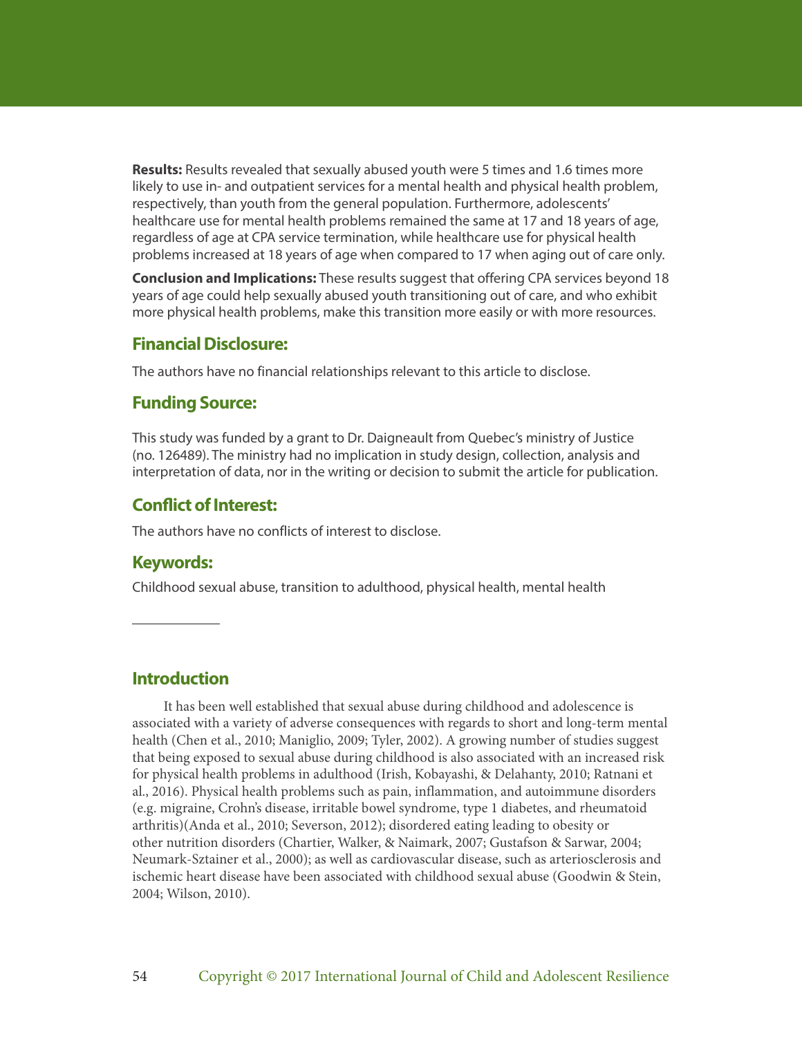**Results:** Results revealed that sexually abused youth were 5 times and 1.6 times more likely to use in- and outpatient services for a mental health and physical health problem, respectively, than youth from the general population. Furthermore, adolescents' healthcare use for mental health problems remained the same at 17 and 18 years of age, regardless of age at CPA service termination, while healthcare use for physical health problems increased at 18 years of age when compared to 17 when aging out of care only.

**Conclusion and Implications:** These results suggest that offering CPA services beyond 18 years of age could help sexually abused youth transitioning out of care, and who exhibit more physical health problems, make this transition more easily or with more resources.

# **Financial Disclosure:**

The authors have no financial relationships relevant to this article to disclose.

# **Funding Source:**

This study was funded by a grant to Dr. Daigneault from Quebec's ministry of Justice (no. 126489). The ministry had no implication in study design, collection, analysis and interpretation of data, nor in the writing or decision to submit the article for publication.

# **Conflict of Interest:**

The authors have no conflicts of interest to disclose.

# **Keywords:**

Childhood sexual abuse, transition to adulthood, physical health, mental health

# **Introduction**

It has been well established that sexual abuse during childhood and adolescence is associated with a variety of adverse consequences with regards to short and long-term mental health (Chen et al., 2010; Maniglio, 2009; Tyler, 2002). A growing number of studies suggest that being exposed to sexual abuse during childhood is also associated with an increased risk for physical health problems in adulthood (Irish, Kobayashi, & Delahanty, 2010; Ratnani et al., 2016). Physical health problems such as pain, inflammation, and autoimmune disorders (e.g. migraine, Crohn's disease, irritable bowel syndrome, type 1 diabetes, and rheumatoid arthritis)(Anda et al., 2010; Severson, 2012); disordered eating leading to obesity or other nutrition disorders (Chartier, Walker, & Naimark, 2007; Gustafson & Sarwar, 2004; Neumark-Sztainer et al., 2000); as well as cardiovascular disease, such as arteriosclerosis and ischemic heart disease have been associated with childhood sexual abuse (Goodwin & Stein, 2004; Wilson, 2010).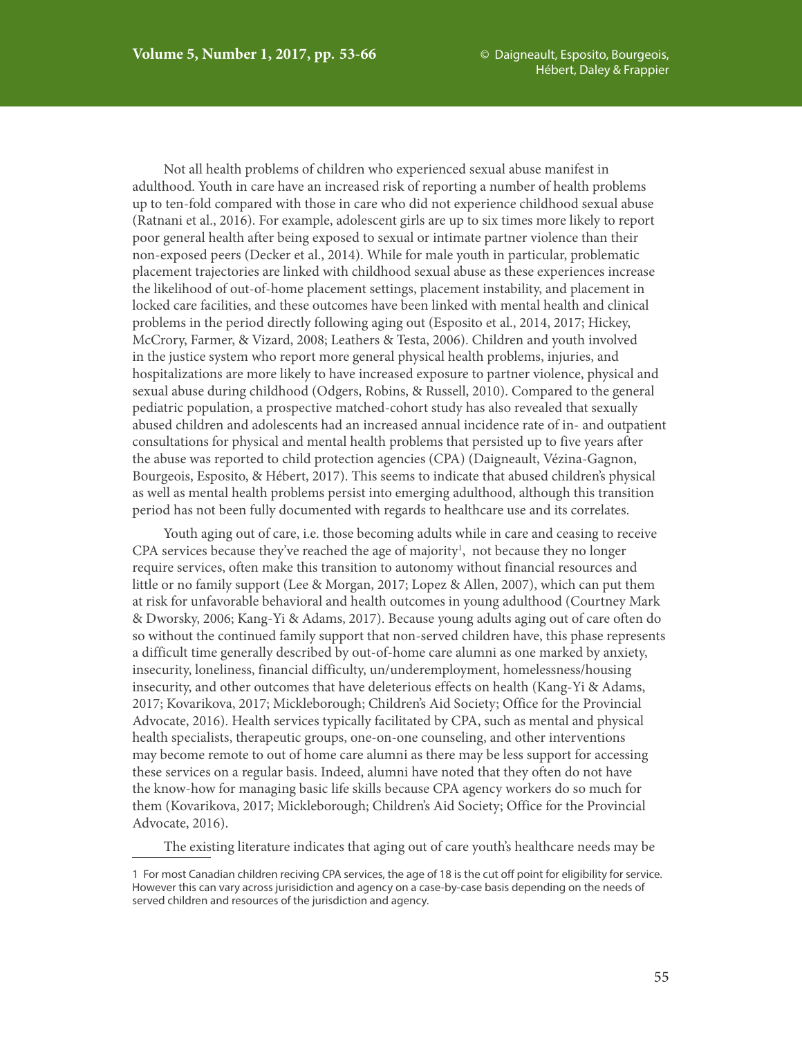Not all health problems of children who experienced sexual abuse manifest in adulthood. Youth in care have an increased risk of reporting a number of health problems up to ten-fold compared with those in care who did not experience childhood sexual abuse (Ratnani et al., 2016). For example, adolescent girls are up to six times more likely to report poor general health after being exposed to sexual or intimate partner violence than their non-exposed peers (Decker et al., 2014). While for male youth in particular, problematic placement trajectories are linked with childhood sexual abuse as these experiences increase the likelihood of out-of-home placement settings, placement instability, and placement in locked care facilities, and these outcomes have been linked with mental health and clinical problems in the period directly following aging out (Esposito et al., 2014, 2017; Hickey, McCrory, Farmer, & Vizard, 2008; Leathers & Testa, 2006). Children and youth involved in the justice system who report more general physical health problems, injuries, and hospitalizations are more likely to have increased exposure to partner violence, physical and sexual abuse during childhood (Odgers, Robins, & Russell, 2010). Compared to the general pediatric population, a prospective matched-cohort study has also revealed that sexually abused children and adolescents had an increased annual incidence rate of in- and outpatient consultations for physical and mental health problems that persisted up to five years after the abuse was reported to child protection agencies (CPA) (Daigneault, Vézina-Gagnon, Bourgeois, Esposito, & Hébert, 2017). This seems to indicate that abused children's physical as well as mental health problems persist into emerging adulthood, although this transition period has not been fully documented with regards to healthcare use and its correlates.

Youth aging out of care, i.e. those becoming adults while in care and ceasing to receive CPA services because they've reached the age of majority<sup>1</sup>, not because they no longer require services, often make this transition to autonomy without financial resources and little or no family support (Lee & Morgan, 2017; Lopez & Allen, 2007), which can put them at risk for unfavorable behavioral and health outcomes in young adulthood (Courtney Mark & Dworsky, 2006; Kang-Yi & Adams, 2017). Because young adults aging out of care often do so without the continued family support that non-served children have, this phase represents a difficult time generally described by out-of-home care alumni as one marked by anxiety, insecurity, loneliness, financial difficulty, un/underemployment, homelessness/housing insecurity, and other outcomes that have deleterious effects on health (Kang-Yi & Adams, 2017; Kovarikova, 2017; Mickleborough; Children's Aid Society; Office for the Provincial Advocate, 2016). Health services typically facilitated by CPA, such as mental and physical health specialists, therapeutic groups, one-on-one counseling, and other interventions may become remote to out of home care alumni as there may be less support for accessing these services on a regular basis. Indeed, alumni have noted that they often do not have the know-how for managing basic life skills because CPA agency workers do so much for them (Kovarikova, 2017; Mickleborough; Children's Aid Society; Office for the Provincial Advocate, 2016).

The existing literature indicates that aging out of care youth's healthcare needs may be

<sup>1</sup> For most Canadian children reciving CPA services, the age of 18 is the cut off point for eligibility for service. However this can vary across jurisidiction and agency on a case-by-case basis depending on the needs of served children and resources of the jurisdiction and agency.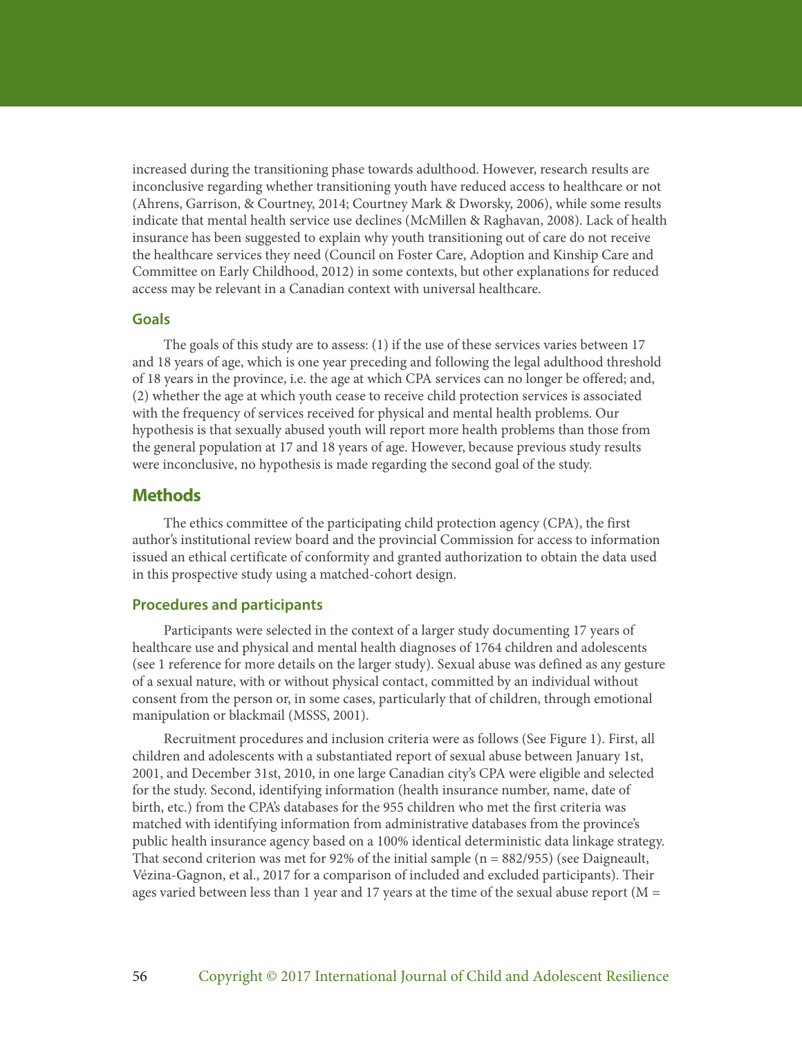increased during the transitioning phase towards adulthood. However, research results are inconclusive regarding whether transitioning youth have reduced access to healthcare or not (Ahrens, Garrison, & Courtney, 2014; Courtney Mark & Dworsky, 2006), while some results indicate that mental health service use declines (McMillen & Raghavan, 2008). Lack of health insurance has been suggested to explain why youth transitioning out of care do not receive the healthcare services they need (Council on Foster Care, Adoption and Kinship Care and Committee on Early Childhood, 2012) in some contexts, but other explanations for reduced access may be relevant in a Canadian context with universal healthcare.

### **Goals**

The goals of this study are to assess: (1) if the use of these services varies between 17 and 18 years of age, which is one year preceding and following the legal adulthood threshold of 18 years in the province, i.e. the age at which CPA services can no longer be offered; and, (2) whether the age at which youth cease to receive child protection services is associated with the frequency of services received for physical and mental health problems. Our hypothesis is that sexually abused youth will report more health problems than those from the general population at 17 and 18 years of age. However, because previous study results were inconclusive, no hypothesis is made regarding the second goal of the study.

# **Methods**

The ethics committee of the participating child protection agency (CPA), the first author's institutional review board and the provincial Commission for access to information issued an ethical certificate of conformity and granted authorization to obtain the data used in this prospective study using a matched-cohort design.

### **Procedures and participants**

Participants were selected in the context of a larger study documenting 17 years of healthcare use and physical and mental health diagnoses of 1764 children and adolescents (see 1 reference for more details on the larger study). Sexual abuse was defined as any gesture of a sexual nature, with or without physical contact, committed by an individual without consent from the person or, in some cases, particularly that of children, through emotional manipulation or blackmail (MSSS, 2001).

Recruitment procedures and inclusion criteria were as follows (See Figure 1). First, all children and adolescents with a substantiated report of sexual abuse between January 1st, 2001, and December 31st, 2010, in one large Canadian city's CPA were eligible and selected for the study. Second, identifying information (health insurance number, name, date of birth, etc.) from the CPA's databases for the 955 children who met the first criteria was matched with identifying information from administrative databases from the province's public health insurance agency based on a 100% identical deterministic data linkage strategy. That second criterion was met for 92% of the initial sample (n = 882/955) (see Daigneault, Vézina-Gagnon, et al., 2017 for a comparison of included and excluded participants). Their ages varied between less than 1 year and 17 years at the time of the sexual abuse report ( $M =$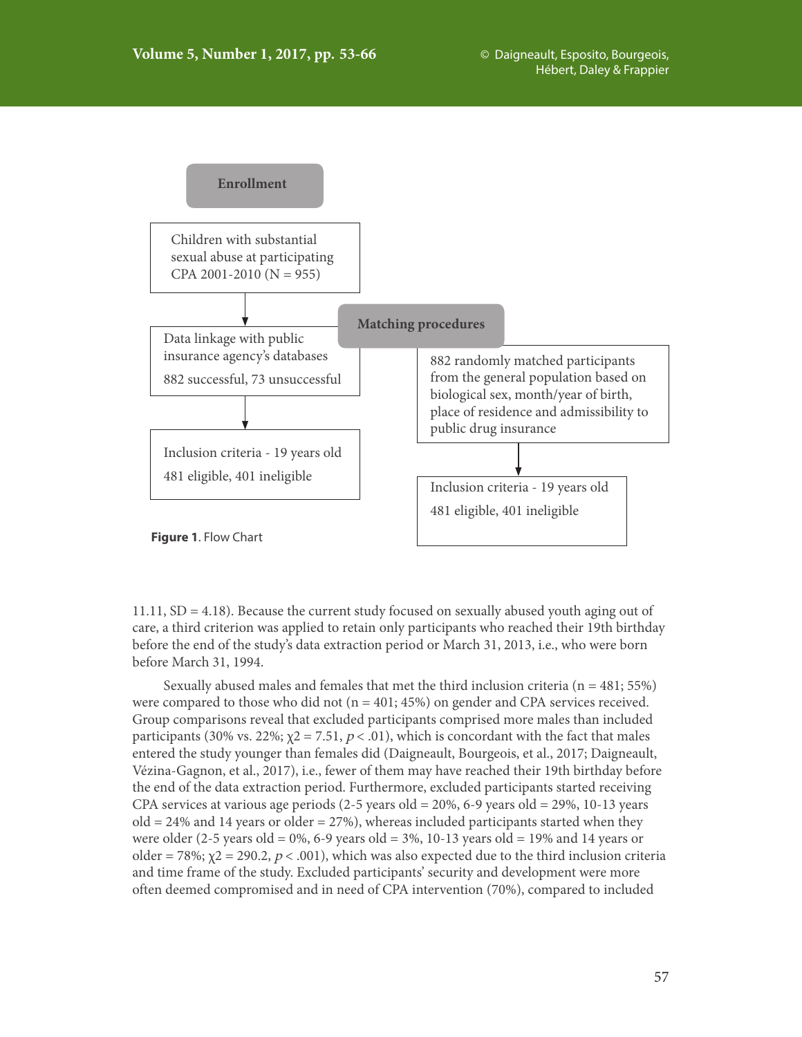

11.11, SD = 4.18). Because the current study focused on sexually abused youth aging out of care, a third criterion was applied to retain only participants who reached their 19th birthday before the end of the study's data extraction period or March 31, 2013, i.e., who were born before March 31, 1994.

Sexually abused males and females that met the third inclusion criteria ( $n = 481$ ; 55%) were compared to those who did not ( $n = 401$ ; 45%) on gender and CPA services received. Group comparisons reveal that excluded participants comprised more males than included participants (30% vs. 22%;  $\chi$ 2 = 7.51,  $p$  < .01), which is concordant with the fact that males entered the study younger than females did (Daigneault, Bourgeois, et al., 2017; Daigneault, Vézina-Gagnon, et al., 2017), i.e., fewer of them may have reached their 19th birthday before the end of the data extraction period. Furthermore, excluded participants started receiving CPA services at various age periods  $(2-5$  years old = 20%, 6-9 years old = 29%, 10-13 years  $old = 24\%$  and 14 years or older  $= 27\%$ ), whereas included participants started when they were older (2-5 years old = 0%, 6-9 years old = 3%, 10-13 years old = 19% and 14 years or older = 78%;  $\chi$ 2 = 290.2, p < .001), which was also expected due to the third inclusion criteria and time frame of the study. Excluded participants' security and development were more often deemed compromised and in need of CPA intervention (70%), compared to included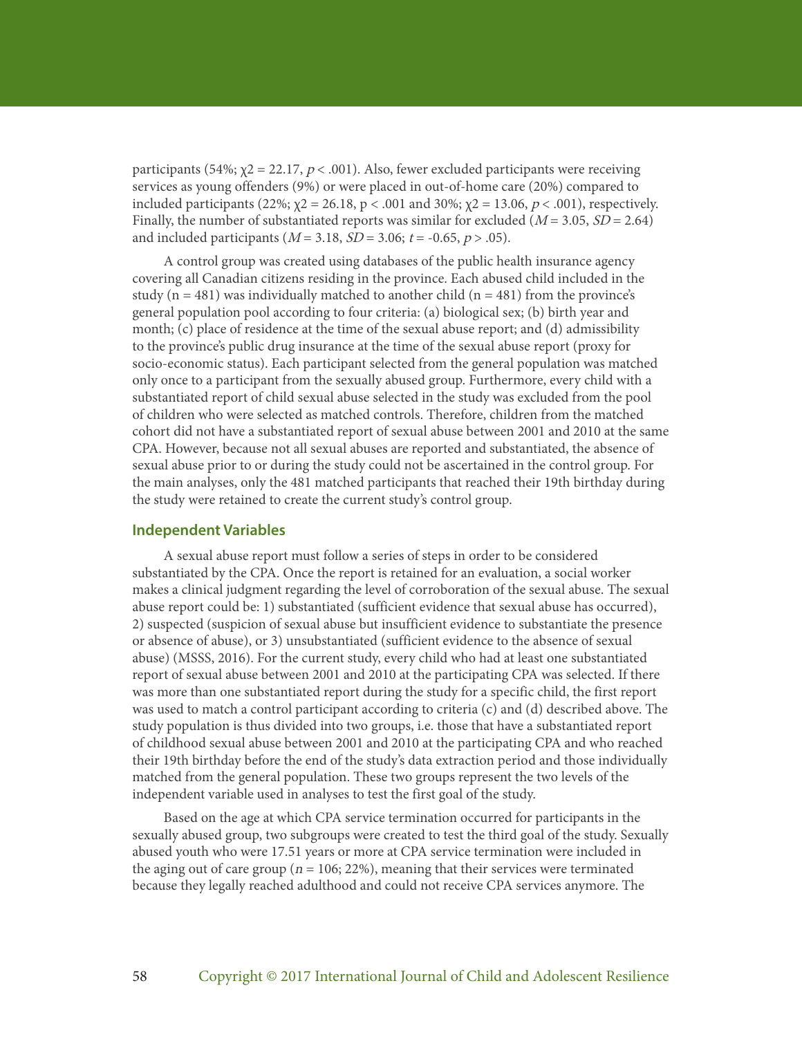participants (54%;  $\chi$ 2 = 22.17,  $p$  < .001). Also, fewer excluded participants were receiving services as young offenders (9%) or were placed in out-of-home care (20%) compared to included participants (22%;  $χ$ 2 = 26.18, p < .001 and 30%;  $χ$ 2 = 13.06, p < .001), respectively. Finally, the number of substantiated reports was similar for excluded  $(M = 3.05, SD = 2.64)$ and included participants ( $M = 3.18$ ,  $SD = 3.06$ ;  $t = -0.65$ ,  $p > .05$ ).

A control group was created using databases of the public health insurance agency covering all Canadian citizens residing in the province. Each abused child included in the study ( $n = 481$ ) was individually matched to another child ( $n = 481$ ) from the province's general population pool according to four criteria: (a) biological sex; (b) birth year and month; (c) place of residence at the time of the sexual abuse report; and (d) admissibility to the province's public drug insurance at the time of the sexual abuse report (proxy for socio-economic status). Each participant selected from the general population was matched only once to a participant from the sexually abused group. Furthermore, every child with a substantiated report of child sexual abuse selected in the study was excluded from the pool of children who were selected as matched controls. Therefore, children from the matched cohort did not have a substantiated report of sexual abuse between 2001 and 2010 at the same CPA. However, because not all sexual abuses are reported and substantiated, the absence of sexual abuse prior to or during the study could not be ascertained in the control group. For the main analyses, only the 481 matched participants that reached their 19th birthday during the study were retained to create the current study's control group.

#### **Independent Variables**

A sexual abuse report must follow a series of steps in order to be considered substantiated by the CPA. Once the report is retained for an evaluation, a social worker makes a clinical judgment regarding the level of corroboration of the sexual abuse. The sexual abuse report could be: 1) substantiated (sufficient evidence that sexual abuse has occurred), 2) suspected (suspicion of sexual abuse but insufficient evidence to substantiate the presence or absence of abuse), or 3) unsubstantiated (sufficient evidence to the absence of sexual abuse) (MSSS, 2016). For the current study, every child who had at least one substantiated report of sexual abuse between 2001 and 2010 at the participating CPA was selected. If there was more than one substantiated report during the study for a specific child, the first report was used to match a control participant according to criteria (c) and (d) described above. The study population is thus divided into two groups, i.e. those that have a substantiated report of childhood sexual abuse between 2001 and 2010 at the participating CPA and who reached their 19th birthday before the end of the study's data extraction period and those individually matched from the general population. These two groups represent the two levels of the independent variable used in analyses to test the first goal of the study.

Based on the age at which CPA service termination occurred for participants in the sexually abused group, two subgroups were created to test the third goal of the study. Sexually abused youth who were 17.51 years or more at CPA service termination were included in the aging out of care group ( $n = 106$ ; 22%), meaning that their services were terminated because they legally reached adulthood and could not receive CPA services anymore. The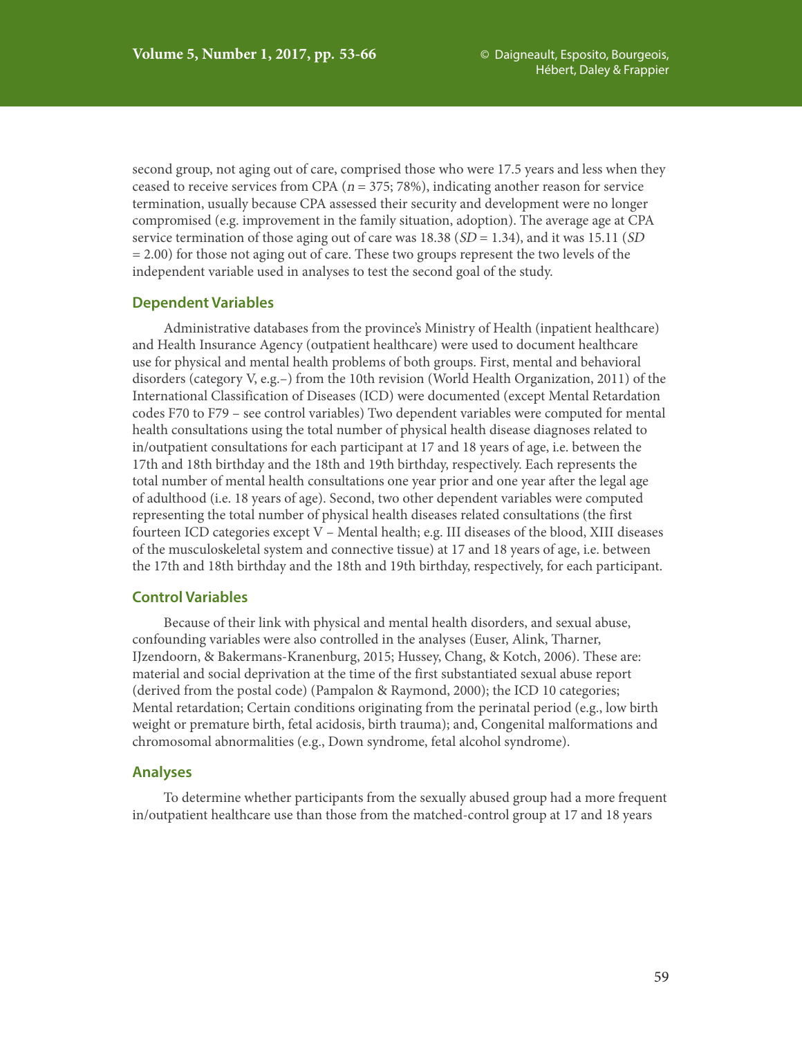second group, not aging out of care, comprised those who were 17.5 years and less when they ceased to receive services from CPA ( $n = 375$ ; 78%), indicating another reason for service termination, usually because CPA assessed their security and development were no longer compromised (e.g. improvement in the family situation, adoption). The average age at CPA service termination of those aging out of care was 18.38 ( $SD = 1.34$ ), and it was 15.11 ( $SD$  $= 2.00$ ) for those not aging out of care. These two groups represent the two levels of the independent variable used in analyses to test the second goal of the study.

### **Dependent Variables**

Administrative databases from the province's Ministry of Health (inpatient healthcare) and Health Insurance Agency (outpatient healthcare) were used to document healthcare use for physical and mental health problems of both groups. First, mental and behavioral disorders (category V, e.g.–) from the 10th revision (World Health Organization, 2011) of the International Classification of Diseases (ICD) were documented (except Mental Retardation codes F70 to F79 – see control variables) Two dependent variables were computed for mental health consultations using the total number of physical health disease diagnoses related to in/outpatient consultations for each participant at 17 and 18 years of age, i.e. between the 17th and 18th birthday and the 18th and 19th birthday, respectively. Each represents the total number of mental health consultations one year prior and one year after the legal age of adulthood (i.e. 18 years of age). Second, two other dependent variables were computed representing the total number of physical health diseases related consultations (the first fourteen ICD categories except V – Mental health; e.g. III diseases of the blood, XIII diseases of the musculoskeletal system and connective tissue) at 17 and 18 years of age, i.e. between the 17th and 18th birthday and the 18th and 19th birthday, respectively, for each participant.

# **Control Variables**

Because of their link with physical and mental health disorders, and sexual abuse, confounding variables were also controlled in the analyses (Euser, Alink, Tharner, IJzendoorn, & Bakermans-Kranenburg, 2015; Hussey, Chang, & Kotch, 2006). These are: material and social deprivation at the time of the first substantiated sexual abuse report (derived from the postal code) (Pampalon & Raymond, 2000); the ICD 10 categories; Mental retardation; Certain conditions originating from the perinatal period (e.g., low birth weight or premature birth, fetal acidosis, birth trauma); and, Congenital malformations and chromosomal abnormalities (e.g., Down syndrome, fetal alcohol syndrome).

#### **Analyses**

To determine whether participants from the sexually abused group had a more frequent in/outpatient healthcare use than those from the matched-control group at 17 and 18 years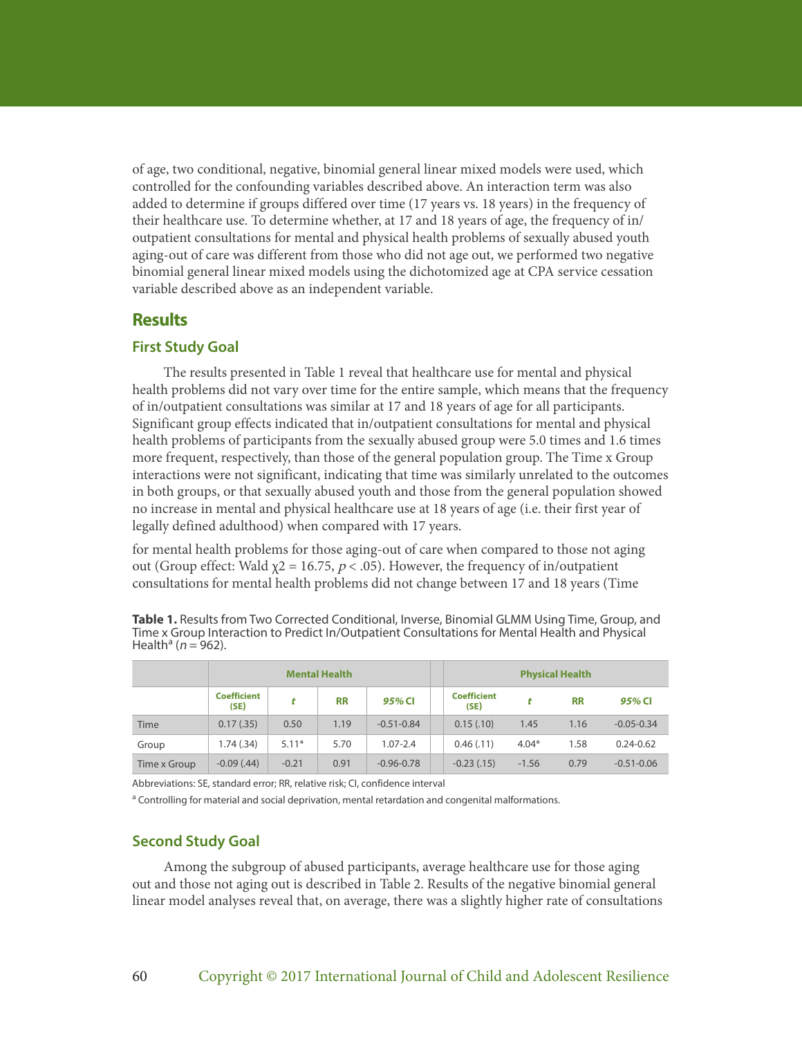of age, two conditional, negative, binomial general linear mixed models were used, which controlled for the confounding variables described above. An interaction term was also added to determine if groups differed over time (17 years vs. 18 years) in the frequency of their healthcare use. To determine whether, at 17 and 18 years of age, the frequency of in/ outpatient consultations for mental and physical health problems of sexually abused youth aging-out of care was different from those who did not age out, we performed two negative binomial general linear mixed models using the dichotomized age at CPA service cessation variable described above as an independent variable.

# **Results**

### **First Study Goal**

The results presented in Table 1 reveal that healthcare use for mental and physical health problems did not vary over time for the entire sample, which means that the frequency of in/outpatient consultations was similar at 17 and 18 years of age for all participants. Significant group effects indicated that in/outpatient consultations for mental and physical health problems of participants from the sexually abused group were 5.0 times and 1.6 times more frequent, respectively, than those of the general population group. The Time x Group interactions were not significant, indicating that time was similarly unrelated to the outcomes in both groups, or that sexually abused youth and those from the general population showed no increase in mental and physical healthcare use at 18 years of age (i.e. their first year of legally defined adulthood) when compared with 17 years.

for mental health problems for those aging-out of care when compared to those not aging out (Group effect: Wald  $χ$ 2 = 16.75,  $p$  < .05). However, the frequency of in/outpatient consultations for mental health problems did not change between 17 and 18 years (Time

**Table 1.** Results from Two Corrected Conditional, Inverse, Binomial GLMM Using Time, Group, and Time x Group Interaction to Predict In/Outpatient Consultations for Mental Health and Physical Health<sup>a</sup> (*n* = 962).

|              | <b>Mental Health</b>       |         |           |                | <b>Physical Health</b>     |         |           |                |
|--------------|----------------------------|---------|-----------|----------------|----------------------------|---------|-----------|----------------|
|              | <b>Coefficient</b><br>(SE) |         | <b>RR</b> | 95% CI         | <b>Coefficient</b><br>(SE) |         | <b>RR</b> | 95% CI         |
| <b>Time</b>  | 0.17(0.35)                 | 0.50    | 1.19      | $-0.51 - 0.84$ | 0.15(.10)                  | 1.45    | 1.16      | $-0.05 - 0.34$ |
| Group        | 1.74(.34)                  | $5.11*$ | 5.70      | $1.07 - 2.4$   | 0.46(0.11)                 | $4.04*$ | 1.58      | $0.24 - 0.62$  |
| Time x Group | $-0.09$ (.44)              | $-0.21$ | 0.91      | $-0.96 - 0.78$ | $-0.23$ $(.15)$            | $-1.56$ | 0.79      | $-0.51 - 0.06$ |

Abbreviations: SE, standard error; RR, relative risk; CI, confidence interval

<sup>a</sup> Controlling for material and social deprivation, mental retardation and congenital malformations.

# **Second Study Goal**

Among the subgroup of abused participants, average healthcare use for those aging out and those not aging out is described in Table 2. Results of the negative binomial general linear model analyses reveal that, on average, there was a slightly higher rate of consultations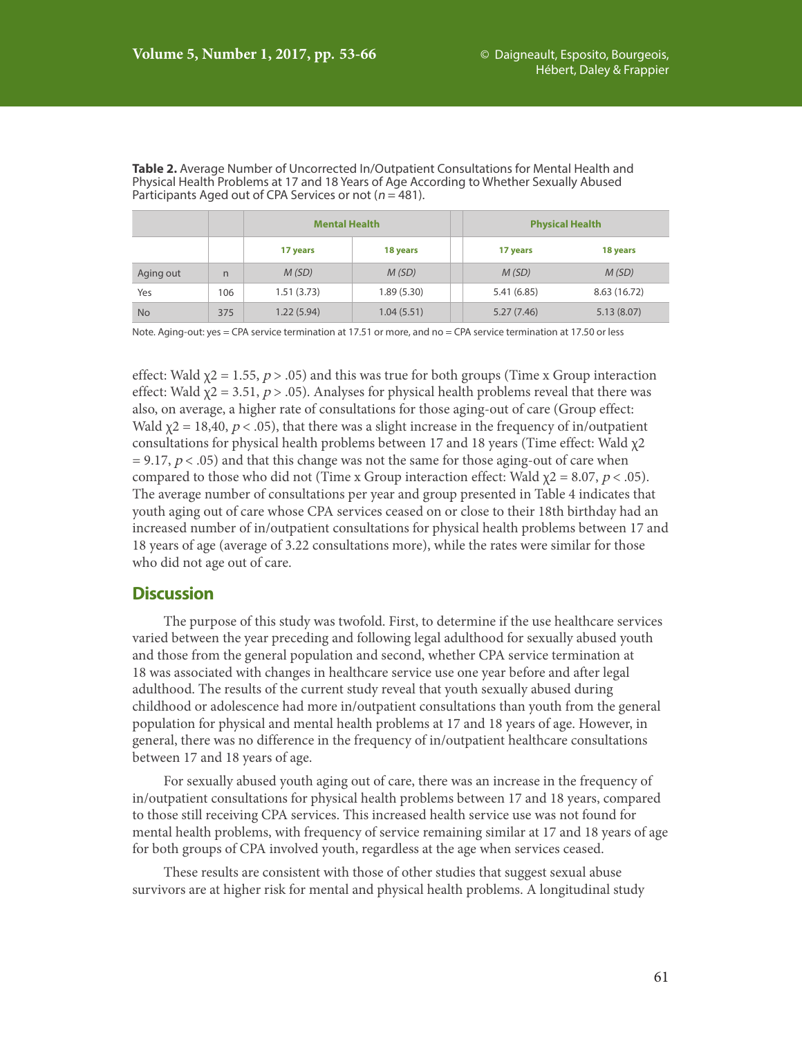|           |     | <b>Mental Health</b> |            | <b>Physical Health</b> |              |  |  |
|-----------|-----|----------------------|------------|------------------------|--------------|--|--|
|           |     | 17 years             | 18 years   | 17 years               | 18 years     |  |  |
| Aging out | n   | M(SD)                | M(SD)      | M(SD)                  | M(SD)        |  |  |
| Yes       | 106 | 1.51(3.73)           | 1.89(5.30) | 5.41(6.85)             | 8.63 (16.72) |  |  |
| <b>No</b> | 375 | 1.22(5.94)           | 1.04(5.51) | 5.27(7.46)             | 5.13(8.07)   |  |  |

**Table 2.** Average Number of Uncorrected In/Outpatient Consultations for Mental Health and Physical Health Problems at 17 and 18 Years of Age According to Whether Sexually Abused Participants Aged out of CPA Services or not ( $n = 481$ ).

Note. Aging-out: yes = CPA service termination at 17.51 or more, and no = CPA service termination at 17.50 or less

effect: Wald  $\chi$ 2 = 1.55, p > .05) and this was true for both groups (Time x Group interaction effect: Wald  $\chi$ 2 = 3.51,  $p$  > .05). Analyses for physical health problems reveal that there was also, on average, a higher rate of consultations for those aging-out of care (Group effect: Wald  $\chi$ 2 = 18,40, *p* < .05), that there was a slight increase in the frequency of in/outpatient consultations for physical health problems between 17 and 18 years (Time effect: Wald χ2  $= 9.17$ ,  $p < .05$ ) and that this change was not the same for those aging-out of care when compared to those who did not (Time x Group interaction effect: Wald  $\chi$ 2 = 8.07, *p* < .05). The average number of consultations per year and group presented in Table 4 indicates that youth aging out of care whose CPA services ceased on or close to their 18th birthday had an increased number of in/outpatient consultations for physical health problems between 17 and 18 years of age (average of 3.22 consultations more), while the rates were similar for those who did not age out of care.

# **Discussion**

The purpose of this study was twofold. First, to determine if the use healthcare services varied between the year preceding and following legal adulthood for sexually abused youth and those from the general population and second, whether CPA service termination at 18 was associated with changes in healthcare service use one year before and after legal adulthood. The results of the current study reveal that youth sexually abused during childhood or adolescence had more in/outpatient consultations than youth from the general population for physical and mental health problems at 17 and 18 years of age. However, in general, there was no difference in the frequency of in/outpatient healthcare consultations between 17 and 18 years of age.

For sexually abused youth aging out of care, there was an increase in the frequency of in/outpatient consultations for physical health problems between 17 and 18 years, compared to those still receiving CPA services. This increased health service use was not found for mental health problems, with frequency of service remaining similar at 17 and 18 years of age for both groups of CPA involved youth, regardless at the age when services ceased.

These results are consistent with those of other studies that suggest sexual abuse survivors are at higher risk for mental and physical health problems. A longitudinal study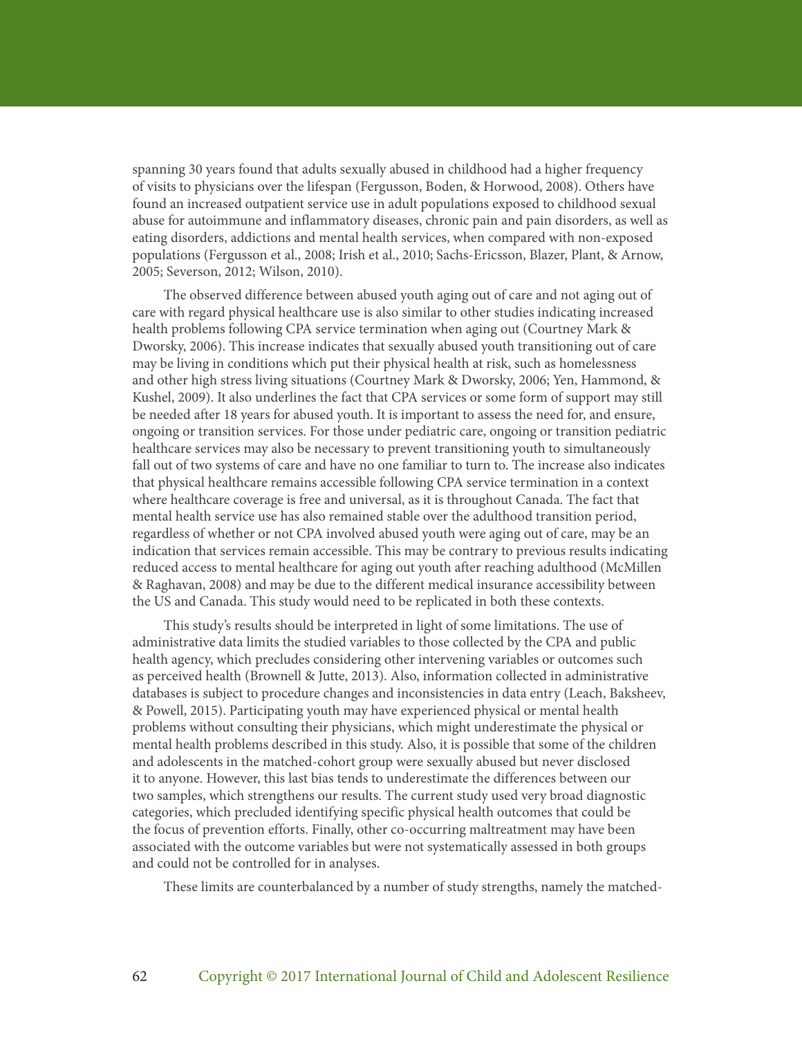spanning 30 years found that adults sexually abused in childhood had a higher frequency of visits to physicians over the lifespan (Fergusson, Boden, & Horwood, 2008). Others have found an increased outpatient service use in adult populations exposed to childhood sexual abuse for autoimmune and inflammatory diseases, chronic pain and pain disorders, as well as eating disorders, addictions and mental health services, when compared with non-exposed populations (Fergusson et al., 2008; Irish et al., 2010; Sachs-Ericsson, Blazer, Plant, & Arnow, 2005; Severson, 2012; Wilson, 2010).

The observed difference between abused youth aging out of care and not aging out of care with regard physical healthcare use is also similar to other studies indicating increased health problems following CPA service termination when aging out (Courtney Mark & Dworsky, 2006). This increase indicates that sexually abused youth transitioning out of care may be living in conditions which put their physical health at risk, such as homelessness and other high stress living situations (Courtney Mark & Dworsky, 2006; Yen, Hammond, & Kushel, 2009). It also underlines the fact that CPA services or some form of support may still be needed after 18 years for abused youth. It is important to assess the need for, and ensure, ongoing or transition services. For those under pediatric care, ongoing or transition pediatric healthcare services may also be necessary to prevent transitioning youth to simultaneously fall out of two systems of care and have no one familiar to turn to. The increase also indicates that physical healthcare remains accessible following CPA service termination in a context where healthcare coverage is free and universal, as it is throughout Canada. The fact that mental health service use has also remained stable over the adulthood transition period, regardless of whether or not CPA involved abused youth were aging out of care, may be an indication that services remain accessible. This may be contrary to previous results indicating reduced access to mental healthcare for aging out youth after reaching adulthood (McMillen & Raghavan, 2008) and may be due to the different medical insurance accessibility between the US and Canada. This study would need to be replicated in both these contexts.

This study's results should be interpreted in light of some limitations. The use of administrative data limits the studied variables to those collected by the CPA and public health agency, which precludes considering other intervening variables or outcomes such as perceived health (Brownell & Jutte, 2013). Also, information collected in administrative databases is subject to procedure changes and inconsistencies in data entry (Leach, Baksheev, & Powell, 2015). Participating youth may have experienced physical or mental health problems without consulting their physicians, which might underestimate the physical or mental health problems described in this study. Also, it is possible that some of the children and adolescents in the matched-cohort group were sexually abused but never disclosed it to anyone. However, this last bias tends to underestimate the differences between our two samples, which strengthens our results. The current study used very broad diagnostic categories, which precluded identifying specific physical health outcomes that could be the focus of prevention efforts. Finally, other co-occurring maltreatment may have been associated with the outcome variables but were not systematically assessed in both groups and could not be controlled for in analyses.

These limits are counterbalanced by a number of study strengths, namely the matched-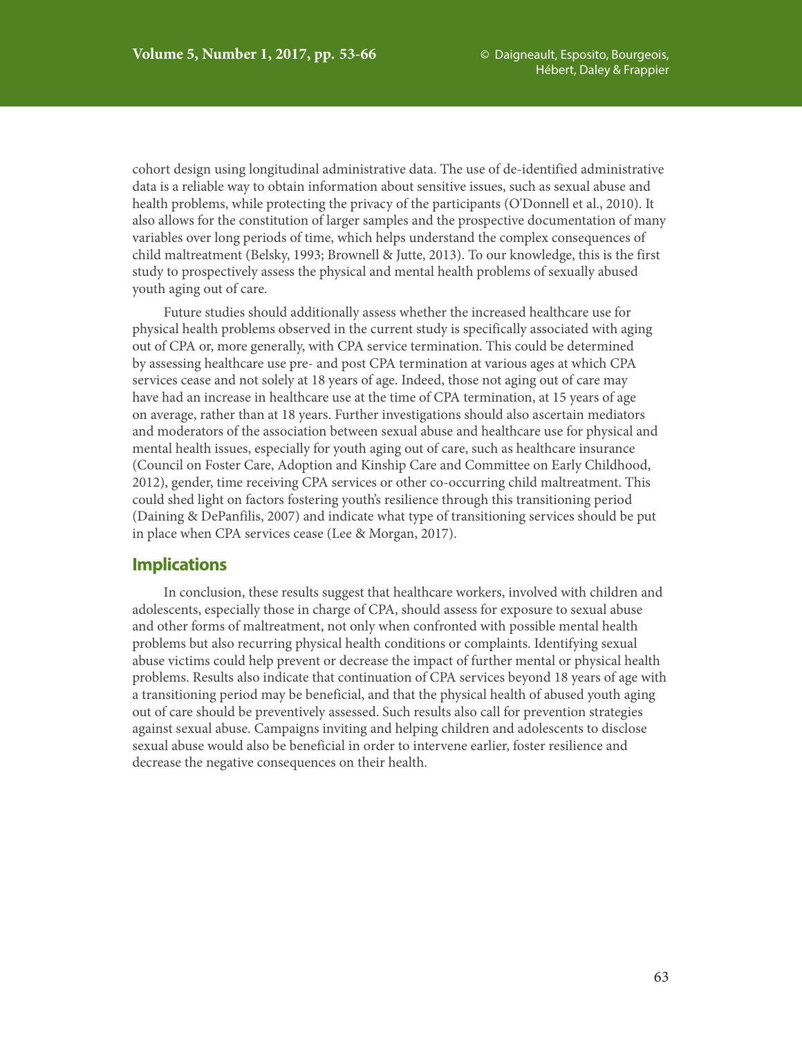cohort design using longitudinal administrative data. The use of de-identified administrative data is a reliable way to obtain information about sensitive issues, such as sexual abuse and health problems, while protecting the privacy of the participants (O'Donnell et al., 2010). It also allows for the constitution of larger samples and the prospective documentation of many variables over long periods of time, which helps understand the complex consequences of child maltreatment (Belsky, 1993; Brownell & Jutte, 2013). To our knowledge, this is the first study to prospectively assess the physical and mental health problems of sexually abused youth aging out of care.

Future studies should additionally assess whether the increased healthcare use for physical health problems observed in the current study is specifically associated with aging out of CPA or, more generally, with CPA service termination. This could be determined by assessing healthcare use pre- and post CPA termination at various ages at which CPA services cease and not solely at 18 years of age. Indeed, those not aging out of care may have had an increase in healthcare use at the time of CPA termination, at 15 years of age on average, rather than at 18 years. Further investigations should also ascertain mediators and moderators of the association between sexual abuse and healthcare use for physical and mental health issues, especially for youth aging out of care, such as healthcare insurance (Council on Foster Care, Adoption and Kinship Care and Committee on Early Childhood, 2012), gender, time receiving CPA services or other co-occurring child maltreatment. This could shed light on factors fostering youth's resilience through this transitioning period (Daining & DePanfilis, 2007) and indicate what type of transitioning services should be put in place when CPA services cease (Lee & Morgan, 2017).

# **Implications**

In conclusion, these results suggest that healthcare workers, involved with children and adolescents, especially those in charge of CPA, should assess for exposure to sexual abuse and other forms of maltreatment, not only when confronted with possible mental health problems but also recurring physical health conditions or complaints. Identifying sexual abuse victims could help prevent or decrease the impact of further mental or physical health problems. Results also indicate that continuation of CPA services beyond 18 years of age with a transitioning period may be beneficial, and that the physical health of abused youth aging out of care should be preventively assessed. Such results also call for prevention strategies against sexual abuse. Campaigns inviting and helping children and adolescents to disclose sexual abuse would also be beneficial in order to intervene earlier, foster resilience and decrease the negative consequences on their health.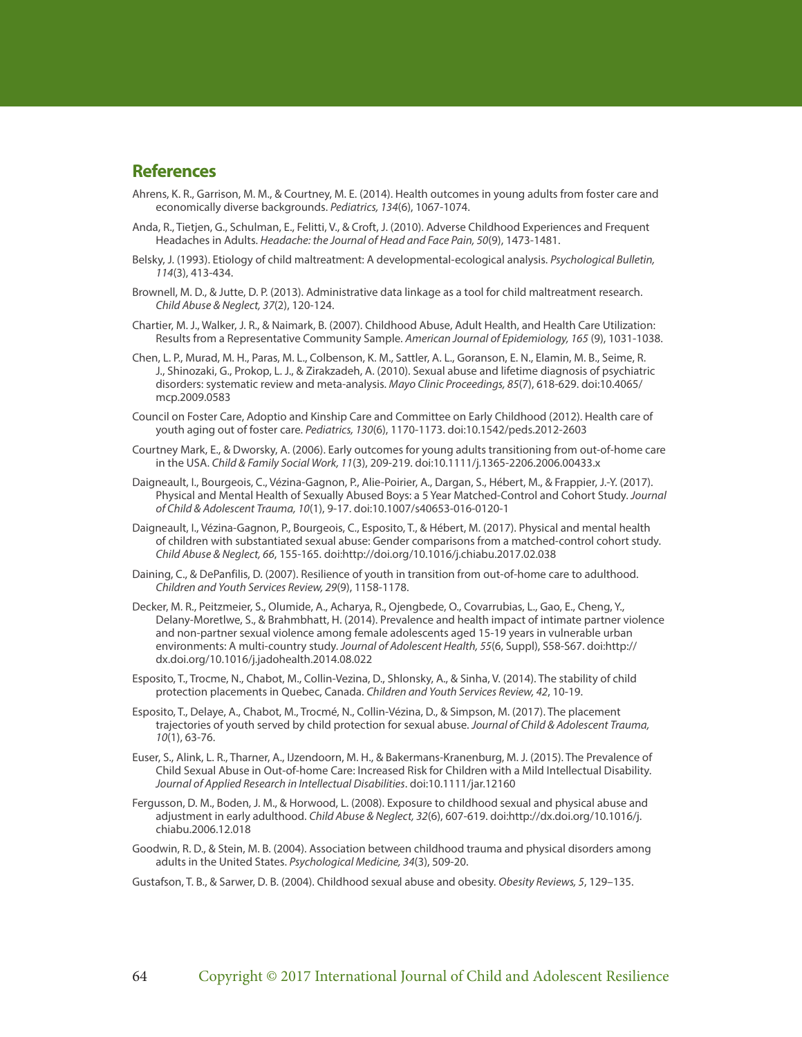# **References**

- Ahrens, K. R., Garrison, M. M., & Courtney, M. E. (2014). Health outcomes in young adults from foster care and economically diverse backgrounds. *Pediatrics, 134*(6), 1067-1074.
- Anda, R., Tietjen, G., Schulman, E., Felitti, V., & Croft, J. (2010). Adverse Childhood Experiences and Frequent Headaches in Adults. *Headache: the Journal of Head and Face Pain, 50*(9), 1473-1481.
- Belsky, J. (1993). Etiology of child maltreatment: A developmental-ecological analysis. *Psychological Bulletin, 114*(3), 413-434.
- Brownell, M. D., & Jutte, D. P. (2013). Administrative data linkage as a tool for child maltreatment research. *Child Abuse & Neglect, 37*(2), 120-124.
- Chartier, M. J., Walker, J. R., & Naimark, B. (2007). Childhood Abuse, Adult Health, and Health Care Utilization: Results from a Representative Community Sample. *American Journal of Epidemiology, 165* (9), 1031-1038.
- Chen, L. P., Murad, M. H., Paras, M. L., Colbenson, K. M., Sattler, A. L., Goranson, E. N., Elamin, M. B., Seime, R. J., Shinozaki, G., Prokop, L. J., & Zirakzadeh, A. (2010). Sexual abuse and lifetime diagnosis of psychiatric disorders: systematic review and meta-analysis. *Mayo Clinic Proceedings, 85*(7), 618-629. doi:10.4065/ mcp.2009.0583
- Council on Foster Care, Adoptio and Kinship Care and Committee on Early Childhood (2012). Health care of youth aging out of foster care. *Pediatrics, 130*(6), 1170-1173. doi:10.1542/peds.2012-2603
- Courtney Mark, E., & Dworsky, A. (2006). Early outcomes for young adults transitioning from out‐of‐home care in the USA. *Child & Family Social Work, 11*(3), 209-219. doi:10.1111/j.1365-2206.2006.00433.x
- Daigneault, I., Bourgeois, C., Vézina-Gagnon, P., Alie-Poirier, A., Dargan, S., Hébert, M., & Frappier, J.-Y. (2017). Physical and Mental Health of Sexually Abused Boys: a 5 Year Matched-Control and Cohort Study. *Journal of Child & Adolescent Trauma, 10*(1), 9-17. doi:10.1007/s40653-016-0120-1
- Daigneault, I., Vézina-Gagnon, P., Bourgeois, C., Esposito, T., & Hébert, M. (2017). Physical and mental health of children with substantiated sexual abuse: Gender comparisons from a matched-control cohort study. *Child Abuse & Neglect, 66*, 155-165. doi:http://doi.org/10.1016/j.chiabu.2017.02.038
- Daining, C., & DePanfilis, D. (2007). Resilience of youth in transition from out-of-home care to adulthood. *Children and Youth Services Review, 29*(9), 1158-1178.
- Decker, M. R., Peitzmeier, S., Olumide, A., Acharya, R., Ojengbede, O., Covarrubias, L., Gao, E., Cheng, Y., Delany-Moretlwe, S., & Brahmbhatt, H. (2014). Prevalence and health impact of intimate partner violence and non-partner sexual violence among female adolescents aged 15-19 years in vulnerable urban environments: A multi-country study. *Journal of Adolescent Health, 55*(6, Suppl), S58-S67. doi:http:// dx.doi.org/10.1016/j.jadohealth.2014.08.022
- Esposito, T., Trocme, N., Chabot, M., Collin-Vezina, D., Shlonsky, A., & Sinha, V. (2014). The stability of child protection placements in Quebec, Canada. *Children and Youth Services Review, 42*, 10-19.
- Esposito, T., Delaye, A., Chabot, M., Trocmé, N., Collin-Vézina, D., & Simpson, M. (2017). The placement trajectories of youth served by child protection for sexual abuse. *Journal of Child & Adolescent Trauma, 10*(1), 63-76.
- Euser, S., Alink, L. R., Tharner, A., IJzendoorn, M. H., & Bakermans-Kranenburg, M. J. (2015). The Prevalence of Child Sexual Abuse in Out‐of‐home Care: Increased Risk for Children with a Mild Intellectual Disability. *Journal of Applied Research in Intellectual Disabilities*. doi:10.1111/jar.12160
- Fergusson, D. M., Boden, J. M., & Horwood, L. (2008). Exposure to childhood sexual and physical abuse and adjustment in early adulthood. *Child Abuse & Neglect, 32*(6), 607-619. doi:http://dx.doi.org/10.1016/j. chiabu.2006.12.018
- Goodwin, R. D., & Stein, M. B. (2004). Association between childhood trauma and physical disorders among adults in the United States. *Psychological Medicine, 34*(3), 509-20.
- Gustafson, T. B., & Sarwer, D. B. (2004). Childhood sexual abuse and obesity. *Obesity Reviews, 5*, 129–135.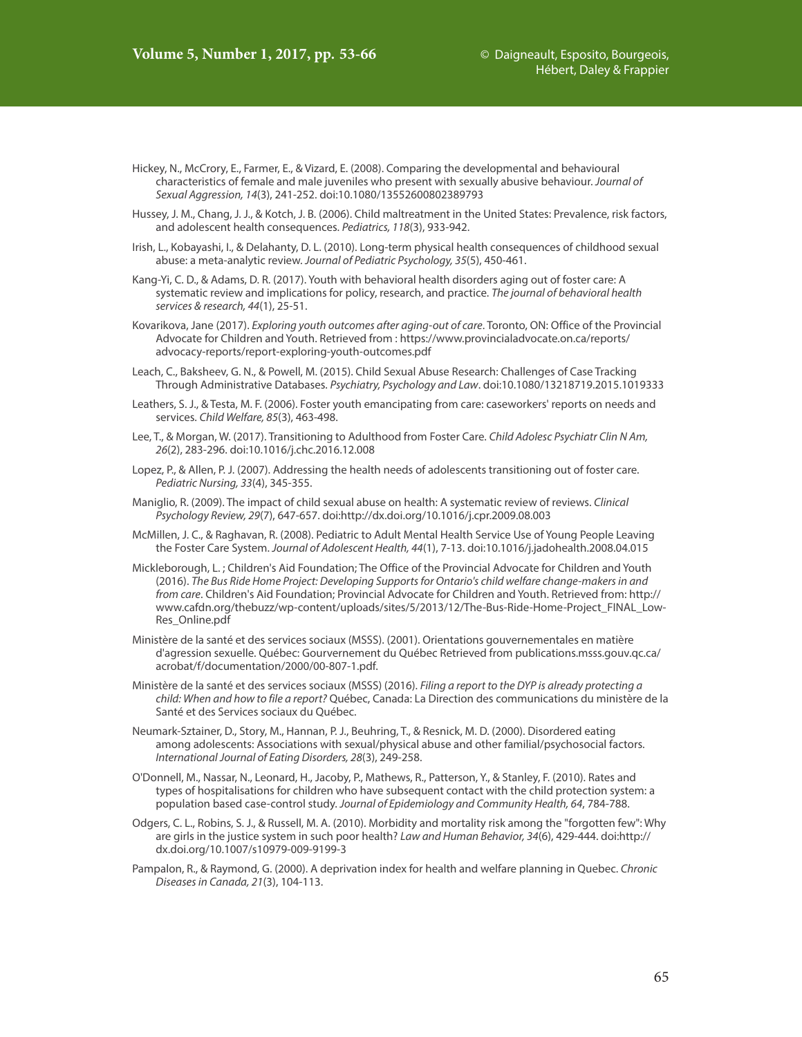- Hickey, N., McCrory, E., Farmer, E., & Vizard, E. (2008). Comparing the developmental and behavioural characteristics of female and male juveniles who present with sexually abusive behaviour. *Journal of Sexual Aggression, 14*(3), 241-252. doi:10.1080/13552600802389793
- Hussey, J. M., Chang, J. J., & Kotch, J. B. (2006). Child maltreatment in the United States: Prevalence, risk factors, and adolescent health consequences. *Pediatrics, 118*(3), 933-942.
- Irish, L., Kobayashi, I., & Delahanty, D. L. (2010). Long-term physical health consequences of childhood sexual abuse: a meta-analytic review. *Journal of Pediatric Psychology, 35*(5), 450-461.
- Kang-Yi, C. D., & Adams, D. R. (2017). Youth with behavioral health disorders aging out of foster care: A systematic review and implications for policy, research, and practice. *The journal of behavioral health services & research, 44*(1), 25-51.
- Kovarikova, Jane (2017). *Exploring youth outcomes after aging-out of care*. Toronto, ON: Office of the Provincial Advocate for Children and Youth. Retrieved from : https://www.provincialadvocate.on.ca/reports/ advocacy-reports/report-exploring-youth-outcomes.pdf
- Leach, C., Baksheev, G. N., & Powell, M. (2015). Child Sexual Abuse Research: Challenges of Case Tracking Through Administrative Databases. *Psychiatry, Psychology and Law*. doi:10.1080/13218719.2015.1019333
- Leathers, S. J., & Testa, M. F. (2006). Foster youth emancipating from care: caseworkers' reports on needs and services. *Child Welfare, 85*(3), 463-498.
- Lee, T., & Morgan, W. (2017). Transitioning to Adulthood from Foster Care. *Child Adolesc Psychiatr Clin N Am, 26*(2), 283-296. doi:10.1016/j.chc.2016.12.008
- Lopez, P., & Allen, P. J. (2007). Addressing the health needs of adolescents transitioning out of foster care. *Pediatric Nursing, 33*(4), 345-355.
- Maniglio, R. (2009). The impact of child sexual abuse on health: A systematic review of reviews. *Clinical Psychology Review, 29*(7), 647-657. doi:http://dx.doi.org/10.1016/j.cpr.2009.08.003
- McMillen, J. C., & Raghavan, R. (2008). Pediatric to Adult Mental Health Service Use of Young People Leaving the Foster Care System. *Journal of Adolescent Health, 44*(1), 7-13. doi:10.1016/j.jadohealth.2008.04.015
- Mickleborough, L. ; Children's Aid Foundation; The Office of the Provincial Advocate for Children and Youth (2016). *The Bus Ride Home Project: Developing Supports for Ontario's child welfare change-makers in and from care*. Children's Aid Foundation; Provincial Advocate for Children and Youth. Retrieved from: http:// www.cafdn.org/thebuzz/wp-content/uploads/sites/5/2013/12/The-Bus-Ride-Home-Project\_FINAL\_Low-Res\_Online.pdf
- Ministère de la santé et des services sociaux (MSSS). (2001). Orientations gouvernementales en matière d'agression sexuelle. Québec: Gourvernement du Québec Retrieved from publications.msss.gouv.qc.ca/ acrobat/f/documentation/2000/00-807-1.pdf.
- Ministère de la santé et des services sociaux (MSSS) (2016). *Filing a report to the DYP is already protecting a child: When and how to file a report?* Québec, Canada: La Direction des communications du ministère de la Santé et des Services sociaux du Québec.
- Neumark-Sztainer, D., Story, M., Hannan, P. J., Beuhring, T., & Resnick, M. D. (2000). Disordered eating among adolescents: Associations with sexual/physical abuse and other familial/psychosocial factors. *International Journal of Eating Disorders, 28*(3), 249-258.
- O'Donnell, M., Nassar, N., Leonard, H., Jacoby, P., Mathews, R., Patterson, Y., & Stanley, F. (2010). Rates and types of hospitalisations for children who have subsequent contact with the child protection system: a population based case-control study. *Journal of Epidemiology and Community Health, 64*, 784-788.
- Odgers, C. L., Robins, S. J., & Russell, M. A. (2010). Morbidity and mortality risk among the "forgotten few": Why are girls in the justice system in such poor health? *Law and Human Behavior, 34*(6), 429-444. doi:http:// dx.doi.org/10.1007/s10979-009-9199-3
- Pampalon, R., & Raymond, G. (2000). A deprivation index for health and welfare planning in Quebec. *Chronic Diseases in Canada, 21*(3), 104-113.